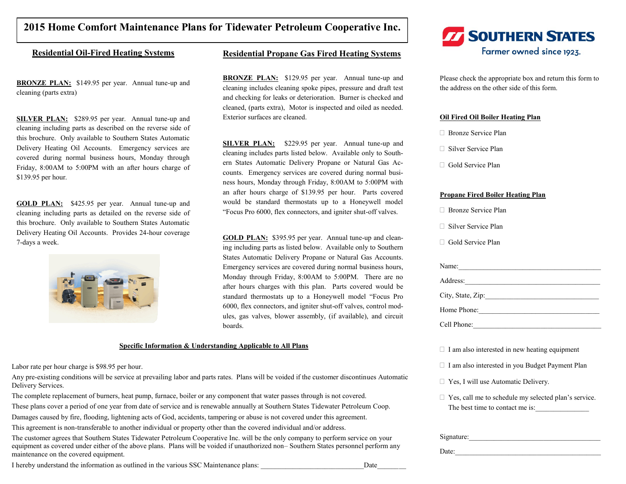## **2015 Home Comfort Maintenance Plans for Tidewater Petroleum Cooperative Inc.**

### **Residential Oil-Fired Heating Systems**

**BRONZE PLAN:** \$149.95 per year. Annual tune-up and cleaning (parts extra)

**SILVER PLAN:** \$289.95 per year. Annual tune-up and cleaning including parts as described on the reverse side of this brochure. Only available to Southern States Automatic Delivery Heating Oil Accounts. Emergency services are covered during normal business hours, Monday through Friday, 8:00AM to 5:00PM with an after hours charge of \$139.95 per hour.

**GOLD PLAN:** \$425.95 per year. Annual tune-up and cleaning including parts as detailed on the reverse side of this brochure. Only available to Southern States Automatic Delivery Heating Oil Accounts. Provides 24-hour coverage 7-days a week.



## **Residential Propane Gas Fired Heating Systems**

**BRONZE PLAN:** \$129.95 per year. Annual tune-up and cleaning includes cleaning spoke pipes, pressure and draft test and checking for leaks or deterioration. Burner is checked and cleaned, (parts extra), Motor is inspected and oiled as needed. Exterior surfaces are cleaned.

**SILVER PLAN:** \$229.95 per year. Annual tune-up and cleaning includes parts listed below. Available only to Southern States Automatic Delivery Propane or Natural Gas Accounts. Emergency services are covered during normal business hours, Monday through Friday, 8:00AM to 5:00PM with an after hours charge of \$139.95 per hour. Parts covered would be standard thermostats up to a Honeywell model "Focus Pro 6000, flex connectors, and igniter shut-off valves.

**GOLD PLAN:** \$395.95 per year. Annual tune-up and cleaning including parts as listed below. Available only to Southern States Automatic Delivery Propane or Natural Gas Accounts. Emergency services are covered during normal business hours, Monday through Friday, 8:00AM to 5:00PM. There are no after hours charges with this plan. Parts covered would be standard thermostats up to a Honeywell model "Focus Pro 6000, flex connectors, and igniter shut-off valves, control modules, gas valves, blower assembly, (if available), and circuit boards.

#### **Specific Information & Understanding Applicable to All Plans**

Labor rate per hour charge is \$98.95 per hour.

Any pre-existing conditions will be service at prevailing labor and parts rates. Plans will be voided if the customer discontinues Automatic Delivery Services.

The complete replacement of burners, heat pump, furnace, boiler or any component that water passes through is not covered.

These plans cover a period of one year from date of service and is renewable annually at Southern States Tidewater Petroleum Coop.

Damages caused by fire, flooding, lightening acts of God, accidents, tampering or abuse is not covered under this agreement.

This agreement is non-transferable to another individual or property other than the covered individual and/or address.

The customer agrees that Southern States Tidewater Petroleum Cooperative Inc. will be the only company to perform service on your equipment as covered under either of the above plans. Plans will be voided if unauthorized non– Southern States personnel perform any maintenance on the covered equipment.

I hereby understand the information as outlined in the various SSC Maintenance plans: Date



Please check the appropriate box and return this form to the address on the other side of this form.

#### **Oil Fired Oil Boiler Heating Plan**

- □ Bronze Service Plan
- $\Box$  Silver Service Plan
- □ Gold Service Plan

#### **Propane Fired Boiler Heating Plan**

- □ Bronze Service Plan
- □ Silver Service Plan
- □ Gold Service Plan

| Name:             |
|-------------------|
| Address:          |
| City, State, Zip: |
| Home Phone:       |
| Cell Phone:       |

 $\Box$  I am also interested in new heating equipment

- $\Box$  I am also interested in you Budget Payment Plan
- □ Yes, I will use Automatic Delivery.
- □ Yes, call me to schedule my selected plan's service. The best time to contact me is:

| Signature: |  |  |  |
|------------|--|--|--|
| Date:      |  |  |  |